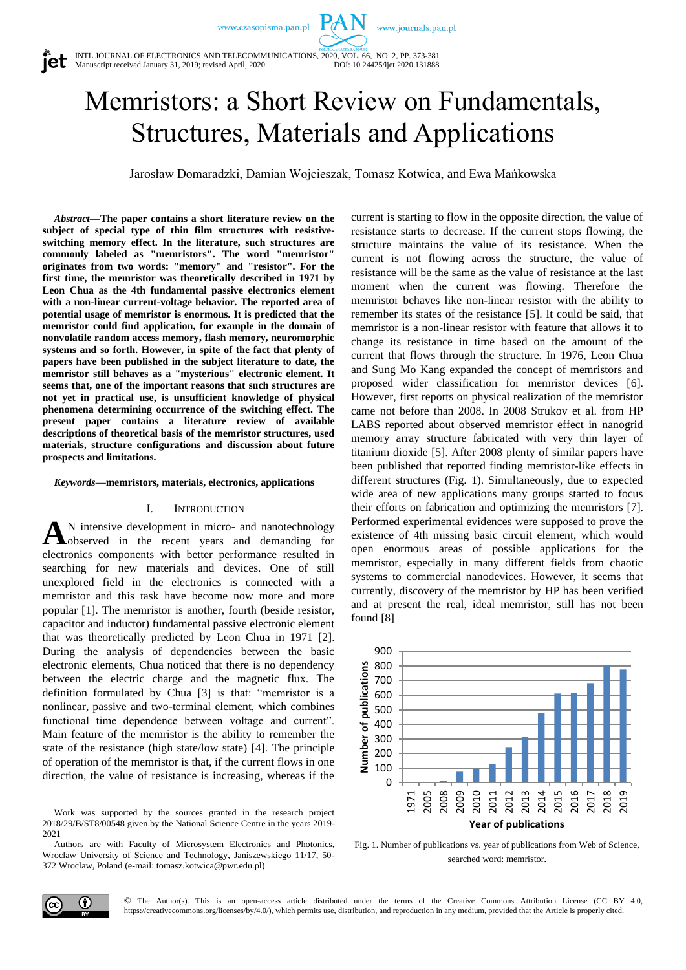www.journals.pan.pl



INTL JOURNAL OF ELECTRONICS AND TELECOMMUNICATIONS, 2020, VOL. 66, NO. 2, PP. 373-381<br>Manuscript received January 31, 2019; revised April, 2020. DOI: 10.24425/ijet.2020.131888 Manuscript received January 31, 2019; revised April, 2020.

# Memristors: a Short Review on Fundamentals, Structures, Materials and Applications

Jarosław Domaradzki, Damian Wojcieszak, Tomasz Kotwica, and Ewa Mańkowska

*Abstract***—The paper contains a short literature review on the subject of special type of thin film structures with resistiveswitching memory effect. In the literature, such structures are commonly labeled as "memristors". The word "memristor" originates from two words: "memory" and "resistor". For the first time, the memristor was theoretically described in 1971 by Leon Chua as the 4th fundamental passive electronics element with a non-linear current-voltage behavior. The reported area of potential usage of memristor is enormous. It is predicted that the memristor could find application, for example in the domain of nonvolatile random access memory, flash memory, neuromorphic systems and so forth. However, in spite of the fact that plenty of papers have been published in the subject literature to date, the memristor still behaves as a "mysterious" electronic element. It seems that, one of the important reasons that such structures are not yet in practical use, is unsufficient knowledge of physical phenomena determining occurrence of the switching effect. The present paper contains a literature review of available descriptions of theoretical basis of the memristor structures, used materials, structure configurations and discussion about future prospects and limitations.**

*Keywords***—memristors, materials, electronics, applications**

#### I. INTRODUCTION

N intensive development in micro- and nanotechnology observed in the recent years and demanding for electronics components with better performance resulted in searching for new materials and devices. One of still unexplored field in the electronics is connected with a memristor and this task have become now more and more popular [1]. The memristor is another, fourth (beside resistor, capacitor and inductor) fundamental passive electronic element that was theoretically predicted by Leon Chua in 1971 [2]. During the analysis of dependencies between the basic electronic elements, Chua noticed that there is no dependency between the electric charge and the magnetic flux. The definition formulated by Chua [3] is that: "memristor is a nonlinear, passive and two-terminal element, which combines functional time dependence between voltage and current". Main feature of the memristor is the ability to remember the state of the resistance (high state/low state) [4]. The principle of operation of the memristor is that, if the current flows in one direction, the value of resistance is increasing, whereas if the **A**

Work was supported by the sources granted in the research project 2018/29/B/ST8/00548 given by the National Science Centre in the years 2019- 2021

Authors are with Faculty of Microsystem Electronics and Photonics, Wroclaw University of Science and Technology, Janiszewskiego 11/17, 50- 372 Wroclaw, Poland (e-mail: tomasz.kotwica@pwr.edu.pl)

current is starting to flow in the opposite direction, the value of resistance starts to decrease. If the current stops flowing, the structure maintains the value of its resistance. When the current is not flowing across the structure, the value of resistance will be the same as the value of resistance at the last moment when the current was flowing. Therefore the memristor behaves like non-linear resistor with the ability to remember its states of the resistance [5]. It could be said, that memristor is a non-linear resistor with feature that allows it to change its resistance in time based on the amount of the current that flows through the structure. In 1976, Leon Chua and Sung Mo Kang expanded the concept of memristors and proposed wider classification for memristor devices [6]. However, first reports on physical realization of the memristor came not before than 2008. In 2008 Strukov et al. from HP LABS reported about observed memristor effect in nanogrid memory array structure fabricated with very thin layer of titanium dioxide [5]. After 2008 plenty of similar papers have been published that reported finding memristor-like effects in different structures (Fig. 1). Simultaneously, due to expected wide area of new applications many groups started to focus their efforts on fabrication and optimizing the memristors [7]. Performed experimental evidences were supposed to prove the existence of 4th missing basic circuit element, which would open enormous areas of possible applications for the memristor, especially in many different fields from chaotic systems to commercial nanodevices. However, it seems that currently, discovery of the memristor by HP has been verified and at present the real, ideal memristor, still has not been found [8]



Fig. 1. Number of publications vs. year of publications from Web of Science, searched word: memristor*.*



© The Author(s). This is an open-access article distributed under the terms of the Creative Commons Attribution License (CC BY 4.0, https://creativecommons.org/licenses/by/4.0/), which permits use, distribution, and reproduction in any medium, provided that the Article is properly cited.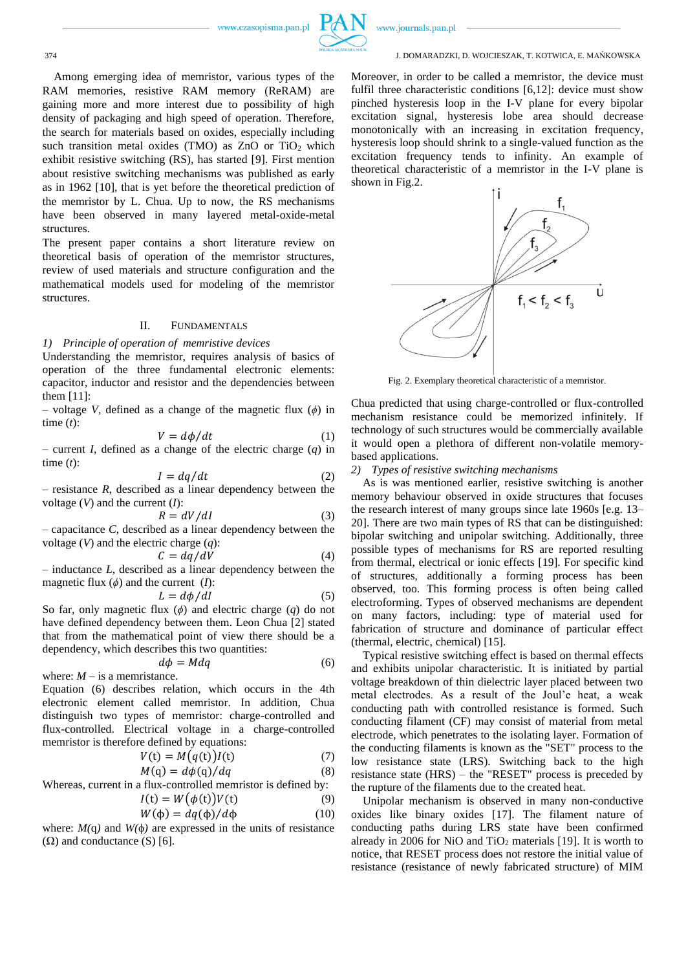

www.journals.pan.pl

374 J. DOMARADZKI, D. WOJCIESZAK, T. KOTWICA, E. MAŃKOWSKA

Among emerging idea of memristor, various types of the RAM memories, resistive RAM memory (ReRAM) are gaining more and more interest due to possibility of high density of packaging and high speed of operation. Therefore, the search for materials based on oxides, especially including such transition metal oxides (TMO) as  $ZnO$  or  $TiO<sub>2</sub>$  which exhibit resistive switching (RS), has started [9]. First mention about resistive switching mechanisms was published as early as in 1962 [10], that is yet before the theoretical prediction of the memristor by L. Chua. Up to now, the RS mechanisms have been observed in many layered metal-oxide-metal structures.

The present paper contains a short literature review on theoretical basis of operation of the memristor structures, review of used materials and structure configuration and the mathematical models used for modeling of the memristor structures.

## II. FUNDAMENTALS

#### *1) Principle of operation of memristive devices*

Understanding the memristor, requires analysis of basics of operation of the three fundamental electronic elements: capacitor, inductor and resistor and the dependencies between them [11]:

– voltage *V*, defined as a change of the magnetic flux  $(\phi)$  in time (*t*):

$$
V = d\phi/dt \tag{1}
$$

– current *I*, defined as a change of the electric charge (*q*) in time (*t*):

$$
I = dq/dt \tag{2}
$$

 $-$  resistance *, described as a linear dependency between the* voltage (*V*) and the current (*I*):

$$
R = dV/dI \tag{3}
$$

 $-$  capacitance  $C$ , described as a linear dependency between the voltage (*V*) and the electric charge (*q*):

$$
C = dq/dV \tag{4}
$$

– inductance *L*, described as a linear dependency between the magnetic flux  $(\phi)$  and the current  $(I)$ :

$$
L = d\phi/dI \tag{5}
$$

So far, only magnetic flux (*ϕ*) and electric charge (*q*) do not have defined dependency between them. Leon Chua [2] stated that from the mathematical point of view there should be a dependency, which describes this two quantities:

$$
d\phi = Mdq
$$
 (6)  
where:  $M$  – is a memristance.

Equation (6) describes relation, which occurs in the 4th electronic element called memristor. In addition, Chua distinguish two types of memristor: charge-controlled and flux-controlled. Electrical voltage in a charge-controlled memristor is therefore defined by equations:

$$
V(t) = M(q(t))I(t)
$$
\n(7)  
\n
$$
M(q) = d\phi(q)/dq
$$
\n(8)

Whereas, current in a flux-controlled memristor is defined by:

$$
I(t) = W(\phi(t))V(t)
$$
\n(9)

$$
W(\phi) = dq(\phi)/d\phi \tag{10}
$$

where:  $M(q)$  and  $W(\phi)$  are expressed in the units of resistance  $(\Omega)$  and conductance  $(S)$  [6].

Moreover, in order to be called a memristor, the device must fulfil three characteristic conditions [6,12]: device must show pinched hysteresis loop in the I-V plane for every bipolar excitation signal, hysteresis lobe area should decrease monotonically with an increasing in excitation frequency, hysteresis loop should shrink to a single-valued function as the excitation frequency tends to infinity. An example of theoretical characteristic of a memristor in the I-V plane is shown in Fig.2.



Fig. 2. Exemplary theoretical characteristic of a memristor.

Chua predicted that using charge-controlled or flux-controlled mechanism resistance could be memorized infinitely. If technology of such structures would be commercially available it would open a plethora of different non-volatile memorybased applications.

#### *2) Types of resistive switching mechanisms*

As is was mentioned earlier, resistive switching is another memory behaviour observed in oxide structures that focuses the research interest of many groups since late 1960s [e.g. 13– 20]. There are two main types of RS that can be distinguished: bipolar switching and unipolar switching. Additionally, three possible types of mechanisms for RS are reported resulting from thermal, electrical or ionic effects [19]. For specific kind of structures, additionally a forming process has been observed, too. This forming process is often being called electroforming. Types of observed mechanisms are dependent on many factors, including: type of material used for fabrication of structure and dominance of particular effect (thermal, electric, chemical) [15].

Typical resistive switching effect is based on thermal effects and exhibits unipolar characteristic. It is initiated by partial voltage breakdown of thin dielectric layer placed between two metal electrodes. As a result of the Joul'e heat, a weak conducting path with controlled resistance is formed. Such conducting filament (CF) may consist of material from metal electrode, which penetrates to the isolating layer. Formation of the conducting filaments is known as the "SET" process to the low resistance state (LRS). Switching back to the high resistance state (HRS) – the "RESET" process is preceded by the rupture of the filaments due to the created heat.

Unipolar mechanism is observed in many non-conductive oxides like binary oxides [17]. The filament nature of conducting paths during LRS state have been confirmed already in 2006 for NiO and  $TiO<sub>2</sub>$  materials [19]. It is worth to notice, that RESET process does not restore the initial value of resistance (resistance of newly fabricated structure) of MIM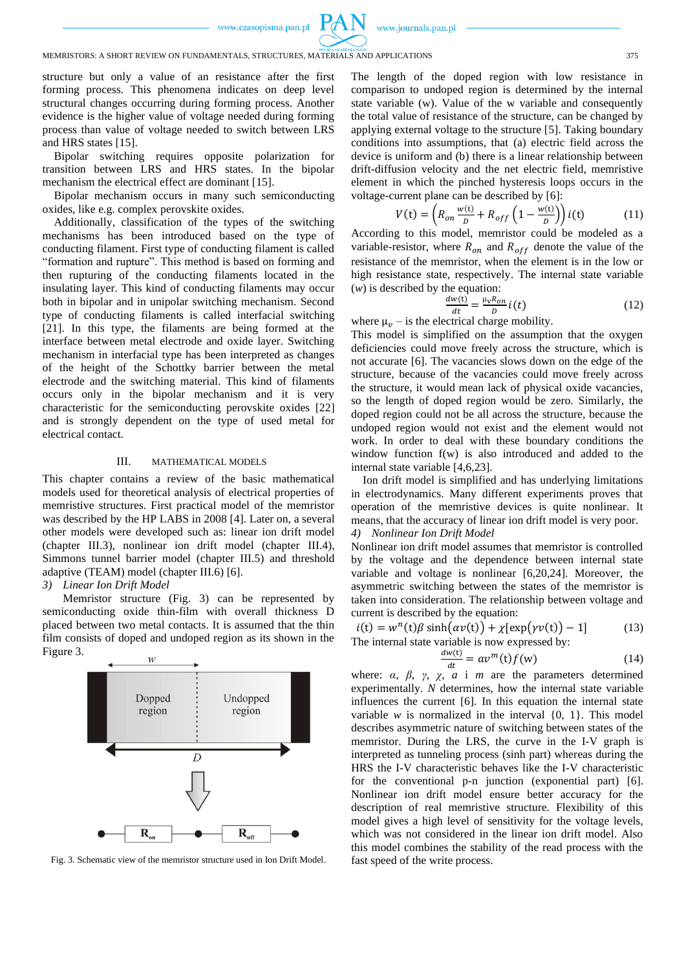

## MEMRISTORS: A SHORT REVIEW ON FUNDAMENTALS, STRUCTURES, MATERIALS AND APPLICATIONS 375

structure but only a value of an resistance after the first forming process. This phenomena indicates on deep level structural changes occurring during forming process. Another evidence is the higher value of voltage needed during forming process than value of voltage needed to switch between LRS and HRS states [15].

Bipolar switching requires opposite polarization for transition between LRS and HRS states. In the bipolar mechanism the electrical effect are dominant [15].

Bipolar mechanism occurs in many such semiconducting oxides, like e.g. complex perovskite oxides.

Additionally, classification of the types of the switching mechanisms has been introduced based on the type of conducting filament. First type of conducting filament is called "formation and rupture". This method is based on forming and then rupturing of the conducting filaments located in the insulating layer. This kind of conducting filaments may occur both in bipolar and in unipolar switching mechanism. Second type of conducting filaments is called interfacial switching [21]. In this type, the filaments are being formed at the interface between metal electrode and oxide layer. Switching mechanism in interfacial type has been interpreted as changes of the height of the Schottky barrier between the metal electrode and the switching material. This kind of filaments occurs only in the bipolar mechanism and it is very characteristic for the semiconducting perovskite oxides [22] and is strongly dependent on the type of used metal for electrical contact.

#### III. MATHEMATICAL MODELS

This chapter contains a review of the basic mathematical models used for theoretical analysis of electrical properties of memristive structures. First practical model of the memristor was described by the HP LABS in 2008 [4]. Later on, a several other models were developed such as: linear ion drift model (chapter III.3), nonlinear ion drift model (chapter III.4), Simmons tunnel barrier model (chapter III.5) and threshold adaptive (TEAM) model (chapter III.6) [6].

*3) Linear Ion Drift Model*

Memristor structure (Fig. 3) can be represented by semiconducting oxide thin-film with overall thickness D placed between two metal contacts. It is assumed that the thin film consists of doped and undoped region as its shown in the Figure 3.



Fig. 3. Schematic view of the memristor structure used in Ion Drift Model.

The length of the doped region with low resistance in comparison to undoped region is determined by the internal state variable (w). Value of the w variable and consequently the total value of resistance of the structure, can be changed by applying external voltage to the structure [5]. Taking boundary conditions into assumptions, that (a) electric field across the device is uniform and (b) there is a linear relationship between drift-diffusion velocity and the net electric field, memristive element in which the pinched hysteresis loops occurs in the voltage-current plane can be described by [6]:

$$
V(t) = \left(R_{on} \frac{w(t)}{D} + R_{off} \left(1 - \frac{w(t)}{D}\right) i(t) \tag{11}
$$

According to this model, memristor could be modeled as a variable-resistor, where  $R_{on}$  and  $R_{off}$  denote the value of the resistance of the memristor, when the element is in the low or high resistance state, respectively. The internal state variable (*w*) is described by the equation:

$$
\frac{dw(t)}{dt} = \frac{\mu_V R_{on}}{D} i(t)
$$
 (12)

where  $\mu_{\nu}$  – is the electrical charge mobility.

This model is simplified on the assumption that the oxygen deficiencies could move freely across the structure, which is not accurate [6]. The vacancies slows down on the edge of the structure, because of the vacancies could move freely across the structure, it would mean lack of physical oxide vacancies, so the length of doped region would be zero. Similarly, the doped region could not be all across the structure, because the undoped region would not exist and the element would not work. In order to deal with these boundary conditions the window function f(w) is also introduced and added to the internal state variable [4,6,23].

Ion drift model is simplified and has underlying limitations in electrodynamics. Many different experiments proves that operation of the memristive devices is quite nonlinear. It means, that the accuracy of linear ion drift model is very poor. *4) Nonlinear Ion Drift Model*

# Nonlinear ion drift model assumes that memristor is controlled

by the voltage and the dependence between internal state variable and voltage is nonlinear [6,20,24]. Moreover, the asymmetric switching between the states of the memristor is taken into consideration. The relationship between voltage and current is described by the equation:

$$
i(t) = wn(t)\beta \sinh(\alpha v(t)) + \chi[\exp(\gamma v(t)) - 1]
$$
 (13)  
The internal state variable is now expressed by:  

$$
\frac{dw(t)}{dt} = avm(t)f(w)
$$
 (14)

where:  $\alpha$ ,  $\beta$ ,  $\gamma$ ,  $\chi$ ,  $\alpha$  i *m* are the parameters determined experimentally. *N* determines, how the internal state variable influences the current [6]. In this equation the internal state variable  $w$  is normalized in the interval  $\{0, 1\}$ . This model describes asymmetric nature of switching between states of the memristor. During the LRS, the curve in the I-V graph is interpreted as tunneling process (sinh part) whereas during the HRS the I-V characteristic behaves like the I-V characteristic for the conventional p-n junction (exponential part) [6]. Nonlinear ion drift model ensure better accuracy for the description of real memristive structure. Flexibility of this model gives a high level of sensitivity for the voltage levels, which was not considered in the linear ion drift model. Also this model combines the stability of the read process with the fast speed of the write process.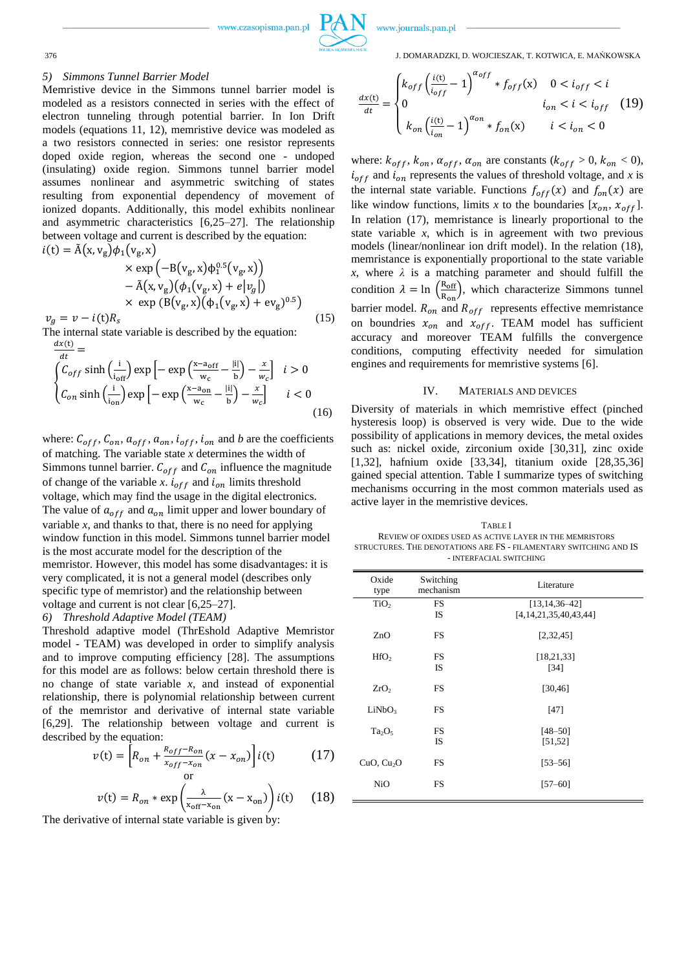



#### *5) Simmons Tunnel Barrier Model*

Memristive device in the Simmons tunnel barrier model is modeled as a resistors connected in series with the effect of electron tunneling through potential barrier. In Ion Drift models (equations 11, 12), memristive device was modeled as a two resistors connected in series: one resistor represents doped oxide region, whereas the second one - undoped (insulating) oxide region. Simmons tunnel barrier model assumes nonlinear and asymmetric switching of states resulting from exponential dependency of movement of ionized dopants. Additionally, this model exhibits nonlinear and asymmetric characteristics [6,25–27]. The relationship between voltage and current is described by the equation:  $i(t) = \text{A}(x, v_g)\phi_1(v_g, x)$ 

$$
\times \exp\left(-B(v_g, x)\phi_1^{0.5}(v_g, x)\right) \n- \tilde{A}(x, v_g)(\phi_1(v_g, x) + e|v_g|) \n\times \exp\left(B(v_g, x)(\phi_1(v_g, x) + \text{ev}_g)^{0.5}\right) \n(t)R_s
$$
\n(15)

 $v_g = v - i(t)R_s$ The internal state variable is described by the equation:

$$
\frac{dx(t)}{dt} = \n\begin{cases}\nC_{off} \sinh\left(\frac{i}{i_{off}}\right) \exp\left[-\exp\left(\frac{x-a_{off}}{w_c} - \frac{|i|}{b}\right) - \frac{x}{w_c}\right] & i > 0 \\
C_{on} \sinh\left(\frac{i}{i_{on}}\right) \exp\left[-\exp\left(\frac{x-a_{on}}{w_c} - \frac{|i|}{b}\right) - \frac{x}{w_c}\right] & i < 0\n\end{cases} \tag{16}
$$

where:  $C_{off}$ ,  $C_{on}$ ,  $a_{off}$ ,  $a_{on}$ ,  $i_{off}$ ,  $i_{on}$  and *b* are the coefficients of matching. The variable state *x* determines the width of Simmons tunnel barrier.  $C_{off}$  and  $C_{on}$  influence the magnitude of change of the variable *x*.  $i_{off}$  and  $i_{on}$  limits threshold voltage, which may find the usage in the digital electronics. The value of  $a_{off}$  and  $a_{on}$  limit upper and lower boundary of variable  $x$ , and thanks to that, there is no need for applying window function in this model. Simmons tunnel barrier model is the most accurate model for the description of the memristor. However, this model has some disadvantages: it is very complicated, it is not a general model (describes only specific type of memristor) and the relationship between voltage and current is not clear [6,25–27]. *6) Threshold Adaptive Model (TEAM)*

Threshold adaptive model (ThrEshold Adaptive Memristor model - TEAM) was developed in order to simplify analysis and to improve computing efficiency [28]. The assumptions for this model are as follows: below certain threshold there is no change of state variable *x*, and instead of exponential relationship, there is polynomial relationship between current of the memristor and derivative of internal state variable [6,29]. The relationship between voltage and current is described by the equation:

$$
v(t) = \left[ R_{on} + \frac{R_{off} - R_{on}}{x_{off} - x_{on}} (x - x_{on}) \right] i(t)
$$
 (17)

$$
v(t) = R_{on} * \exp\left(\frac{\lambda}{x_{off} - x_{on}}(x - x_{on})\right) i(t) \tag{18}
$$

The derivative of internal state variable is given by:

376 J. DOMARADZKI, D. WOJCIESZAK, T. KOTWICA, E. MAŃKOWSKA

$$
\frac{dx(t)}{dt} = \begin{cases} k_{off} \left(\frac{i(t)}{i_{off}} - 1\right)^{\alpha_{off}} * f_{off}(x) & 0 < i_{off} < i \\ 0 & i_{on} < i < i_{off} \\ k_{on} \left(\frac{i(t)}{i_{on}} - 1\right)^{\alpha_{on}} * f_{on}(x) & i < i_{on} < 0 \end{cases}
$$
(19)

where:  $k_{off}$ ,  $k_{on}$ ,  $\alpha_{off}$ ,  $\alpha_{on}$  are constants ( $k_{off} > 0$ ,  $k_{on} < 0$ ),  $i_{off}$  and  $i_{on}$  represents the values of threshold voltage, and *x* is the internal state variable. Functions  $f_{off}(x)$  and  $f_{on}(x)$  are like window functions, limits x to the boundaries  $[x_{on}, x_{off}]$ . In relation (17), memristance is linearly proportional to the state variable *x*, which is in agreement with two previous models (linear/nonlinear ion drift model). In the relation (18), memristance is exponentially proportional to the state variable *x*, where *λ* is a matching parameter and should fulfill the condition  $\lambda = \ln \left( \frac{R_{off}}{R_{off}} \right)$  $\frac{R_{\text{off}}}{R_{\text{on}}}$ , which characterize Simmons tunnel barrier model.  $R_{on}$  and  $R_{off}$  represents effective memristance on boundries  $x_{on}$  and  $x_{off}$ . TEAM model has sufficient accuracy and moreover TEAM fulfills the convergence conditions, computing effectivity needed for simulation engines and requirements for memristive systems [6].

#### IV. MATERIALS AND DEVICES

Diversity of materials in which memristive effect (pinched hysteresis loop) is observed is very wide. Due to the wide possibility of applications in memory devices, the metal oxides such as: nickel oxide, zirconium oxide [30,31], zinc oxide [1,32], hafnium oxide [33,34], titanium oxide [28,35,36] gained special attention. Table I summarize types of switching mechanisms occurring in the most common materials used as active layer in the memristive devices.

TABLE I REVIEW OF OXIDES USED AS ACTIVE LAYER IN THE MEMRISTORS STRUCTURES. THE DENOTATIONS ARE FS - FILAMENTARY SWITCHING AND IS - INTERFACIAL SWITCHING

| Oxide<br>type          | Switching<br>mechanism | Literature                  |
|------------------------|------------------------|-----------------------------|
| TiO <sub>2</sub>       | <b>FS</b>              | $[13, 14, 36 - 42]$         |
|                        | <b>IS</b>              | [4, 14, 21, 35, 40, 43, 44] |
| ZnO                    | <b>FS</b>              | [2,32,45]                   |
| HfO <sub>2</sub>       | FS                     | [18, 21, 33]                |
|                        | <b>IS</b>              | [34]                        |
|                        |                        |                             |
| ZrO <sub>2</sub>       | <b>FS</b>              | [30, 46]                    |
|                        |                        |                             |
| LiNbO <sub>3</sub>     | <b>FS</b>              | [47]                        |
|                        |                        |                             |
| $Ta_2O_5$              | <b>FS</b>              | $[48 - 50]$                 |
|                        | IS                     | [51, 52]                    |
|                        |                        |                             |
| CuO, Cu <sub>2</sub> O | <b>FS</b>              | $[53 - 56]$                 |
|                        |                        |                             |
| <b>NiO</b>             | FS                     | $[57 - 60]$                 |
|                        |                        |                             |

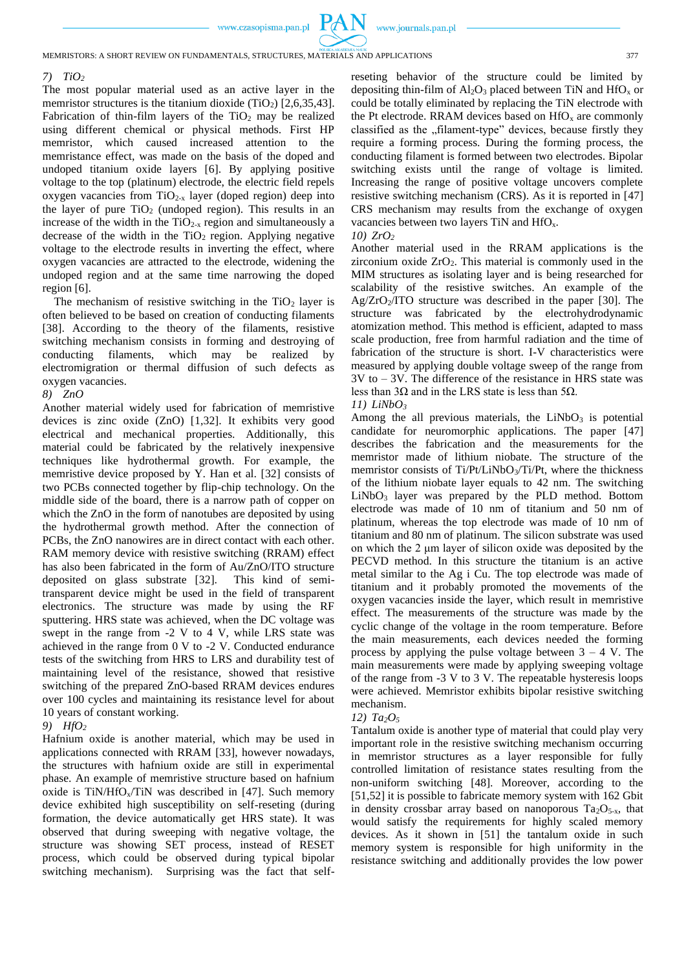#### *7) TiO<sup>2</sup>*

The most popular material used as an active layer in the memristor structures is the titanium dioxide  $(TiO<sub>2</sub>)$  [2,6,35,43]. Fabrication of thin-film layers of the  $TiO<sub>2</sub>$  may be realized using different chemical or physical methods. First HP memristor, which caused increased attention to the memristance effect, was made on the basis of the doped and undoped titanium oxide layers [6]. By applying positive voltage to the top (platinum) electrode, the electric field repels oxygen vacancies from  $TiO<sub>2-x</sub>$  layer (doped region) deep into the layer of pure  $TiO<sub>2</sub>$  (undoped region). This results in an increase of the width in the  $TiO<sub>2-x</sub>$  region and simultaneously a decrease of the width in the  $TiO<sub>2</sub>$  region. Applying negative voltage to the electrode results in inverting the effect, where oxygen vacancies are attracted to the electrode, widening the undoped region and at the same time narrowing the doped region [6].

The mechanism of resistive switching in the  $TiO<sub>2</sub>$  layer is often believed to be based on creation of conducting filaments [38]. According to the theory of the filaments, resistive switching mechanism consists in forming and destroying of conducting filaments, which may be realized by electromigration or thermal diffusion of such defects as oxygen vacancies.

#### *8) ZnO*

Another material widely used for fabrication of memristive devices is zinc oxide (ZnO) [1,32]. It exhibits very good electrical and mechanical properties. Additionally, this material could be fabricated by the relatively inexpensive techniques like hydrothermal growth. For example, the memristive device proposed by Y. Han et al. [32] consists of two PCBs connected together by flip-chip technology. On the middle side of the board, there is a narrow path of copper on which the ZnO in the form of nanotubes are deposited by using the hydrothermal growth method. After the connection of PCBs, the ZnO nanowires are in direct contact with each other. RAM memory device with resistive switching (RRAM) effect has also been fabricated in the form of Au/ZnO/ITO structure deposited on glass substrate [32]. This kind of semitransparent device might be used in the field of transparent electronics. The structure was made by using the RF sputtering. HRS state was achieved, when the DC voltage was swept in the range from -2 V to 4 V, while LRS state was achieved in the range from 0 V to -2 V. Conducted endurance tests of the switching from HRS to LRS and durability test of maintaining level of the resistance, showed that resistive switching of the prepared ZnO-based RRAM devices endures over 100 cycles and maintaining its resistance level for about 10 years of constant working.

#### *9) HfO<sup>2</sup>*

Hafnium oxide is another material, which may be used in applications connected with RRAM [33], however nowadays, the structures with hafnium oxide are still in experimental phase. An example of memristive structure based on hafnium oxide is  $TiN/HfO<sub>x</sub>/TiN$  was described in [47]. Such memory device exhibited high susceptibility on self-reseting (during formation, the device automatically get HRS state). It was observed that during sweeping with negative voltage, the structure was showing SET process, instead of RESET process, which could be observed during typical bipolar switching mechanism). Surprising was the fact that selfreseting behavior of the structure could be limited by depositing thin-film of  $Al_2O_3$  placed between TiN and HfO<sub>x</sub> or could be totally eliminated by replacing the TiN electrode with the Pt electrode. RRAM devices based on  $HfO<sub>x</sub>$  are commonly classified as the "filament-type" devices, because firstly they require a forming process. During the forming process, the conducting filament is formed between two electrodes. Bipolar switching exists until the range of voltage is limited. Increasing the range of positive voltage uncovers complete resistive switching mechanism (CRS). As it is reported in [47] CRS mechanism may results from the exchange of oxygen vacancies between two layers TiN and HfOx.

#### *10) ZrO<sup>2</sup>*

PA N

Another material used in the RRAM applications is the zirconium oxide  $ZrO<sub>2</sub>$ . This material is commonly used in the MIM structures as isolating layer and is being researched for scalability of the resistive switches. An example of the  $Ag/ZrO<sub>2</sub>/ITO$  structure was described in the paper [30]. The structure was fabricated by the electrohydrodynamic atomization method. This method is efficient, adapted to mass scale production, free from harmful radiation and the time of fabrication of the structure is short. I-V characteristics were measured by applying double voltage sweep of the range from 3V to – 3V. The difference of the resistance in HRS state was less than 3Ω and in the LRS state is less than 5Ω.

*11) LiNbO<sup>3</sup>*

Among the all previous materials, the  $LiNbO<sub>3</sub>$  is potential candidate for neuromorphic applications. The paper [47] describes the fabrication and the measurements for the memristor made of lithium niobate. The structure of the memristor consists of Ti/Pt/LiNbO3/Ti/Pt, where the thickness of the lithium niobate layer equals to 42 nm. The switching LiNbO<sup>3</sup> layer was prepared by the PLD method. Bottom electrode was made of 10 nm of titanium and 50 nm of platinum, whereas the top electrode was made of 10 nm of titanium and 80 nm of platinum. The silicon substrate was used on which the 2 μm layer of silicon oxide was deposited by the PECVD method. In this structure the titanium is an active metal similar to the Ag i Cu. The top electrode was made of titanium and it probably promoted the movements of the oxygen vacancies inside the layer, which result in memristive effect. The measurements of the structure was made by the cyclic change of the voltage in the room temperature. Before the main measurements, each devices needed the forming process by applying the pulse voltage between  $3 - 4$  V. The main measurements were made by applying sweeping voltage of the range from -3 V to 3 V. The repeatable hysteresis loops were achieved. Memristor exhibits bipolar resistive switching mechanism.

#### *12) Ta2O<sup>5</sup>*

Tantalum oxide is another type of material that could play very important role in the resistive switching mechanism occurring in memristor structures as a layer responsible for fully controlled limitation of resistance states resulting from the non-uniform switching [48]. Moreover, according to the [51,52] it is possible to fabricate memory system with 162 Gbit in density crossbar array based on nanoporous  $Ta_2O_{5-x}$ , that would satisfy the requirements for highly scaled memory devices. As it shown in [51] the tantalum oxide in such memory system is responsible for high uniformity in the resistance switching and additionally provides the low power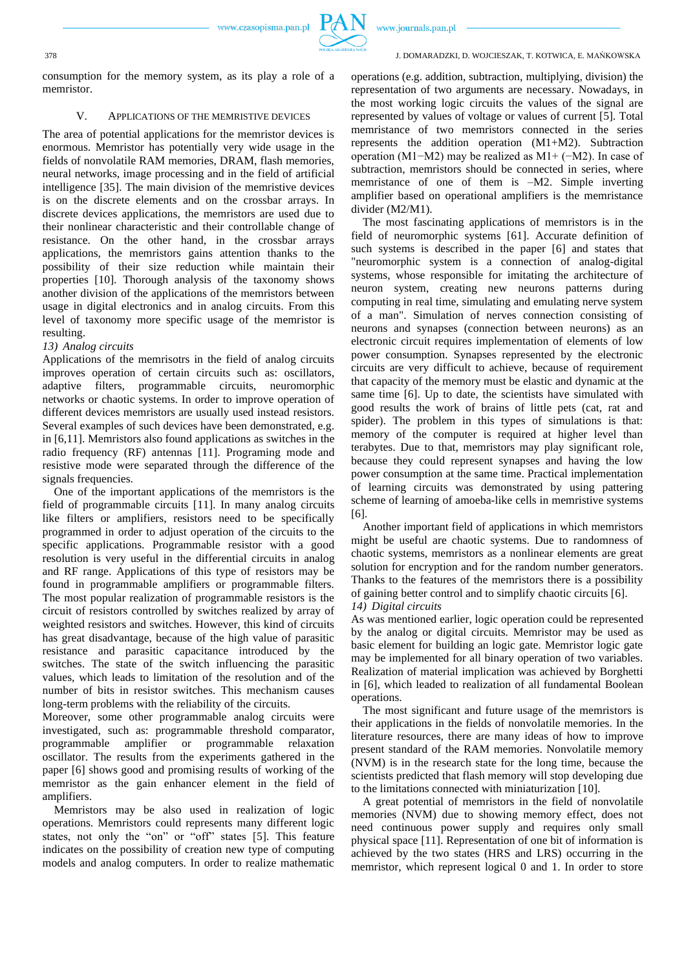

www.journals.pan.pl

#### 378 J. DOMARADZKI, D. WOJCIESZAK, T. KOTWICA, E. MAŃKOWSKA

consumption for the memory system, as its play a role of a memristor.

# V. APPLICATIONS OF THE MEMRISTIVE DEVICES

The area of potential applications for the memristor devices is enormous. Memristor has potentially very wide usage in the fields of nonvolatile RAM memories, DRAM, flash memories, neural networks, image processing and in the field of artificial intelligence [35]. The main division of the memristive devices is on the discrete elements and on the crossbar arrays. In discrete devices applications, the memristors are used due to their nonlinear characteristic and their controllable change of resistance. On the other hand, in the crossbar arrays applications, the memristors gains attention thanks to the possibility of their size reduction while maintain their properties [10]. Thorough analysis of the taxonomy shows another division of the applications of the memristors between usage in digital electronics and in analog circuits. From this level of taxonomy more specific usage of the memristor is resulting.

## *13) Analog circuits*

Applications of the memrisotrs in the field of analog circuits improves operation of certain circuits such as: oscillators, adaptive filters, programmable circuits, neuromorphic networks or chaotic systems. In order to improve operation of different devices memristors are usually used instead resistors. Several examples of such devices have been demonstrated, e.g. in [6,11]. Memristors also found applications as switches in the radio frequency (RF) antennas [11]. Programing mode and resistive mode were separated through the difference of the signals frequencies.

One of the important applications of the memristors is the field of programmable circuits [11]. In many analog circuits like filters or amplifiers, resistors need to be specifically programmed in order to adjust operation of the circuits to the specific applications. Programmable resistor with a good resolution is very useful in the differential circuits in analog and RF range. Applications of this type of resistors may be found in programmable amplifiers or programmable filters. The most popular realization of programmable resistors is the circuit of resistors controlled by switches realized by array of weighted resistors and switches. However, this kind of circuits has great disadvantage, because of the high value of parasitic resistance and parasitic capacitance introduced by the switches. The state of the switch influencing the parasitic values, which leads to limitation of the resolution and of the number of bits in resistor switches. This mechanism causes long-term problems with the reliability of the circuits.

Moreover, some other programmable analog circuits were investigated, such as: programmable threshold comparator, programmable amplifier or programmable relaxation oscillator. The results from the experiments gathered in the paper [6] shows good and promising results of working of the memristor as the gain enhancer element in the field of amplifiers.

Memristors may be also used in realization of logic operations. Memristors could represents many different logic states, not only the "on" or "off" states [5]. This feature indicates on the possibility of creation new type of computing models and analog computers. In order to realize mathematic

operations (e.g. addition, subtraction, multiplying, division) the representation of two arguments are necessary. Nowadays, in the most working logic circuits the values of the signal are represented by values of voltage or values of current [5]. Total memristance of two memristors connected in the series represents the addition operation (M1+M2). Subtraction operation (M1−M2) may be realized as M1+ (−M2). In case of subtraction, memristors should be connected in series, where memristance of one of them is –M2. Simple inverting amplifier based on operational amplifiers is the memristance divider (M2/M1).

The most fascinating applications of memristors is in the field of neuromorphic systems [61]. Accurate definition of such systems is described in the paper [6] and states that "neuromorphic system is a connection of analog-digital systems, whose responsible for imitating the architecture of neuron system, creating new neurons patterns during computing in real time, simulating and emulating nerve system of a man". Simulation of nerves connection consisting of neurons and synapses (connection between neurons) as an electronic circuit requires implementation of elements of low power consumption. Synapses represented by the electronic circuits are very difficult to achieve, because of requirement that capacity of the memory must be elastic and dynamic at the same time [6]. Up to date, the scientists have simulated with good results the work of brains of little pets (cat, rat and spider). The problem in this types of simulations is that: memory of the computer is required at higher level than terabytes. Due to that, memristors may play significant role, because they could represent synapses and having the low power consumption at the same time. Practical implementation of learning circuits was demonstrated by using pattering scheme of learning of amoeba-like cells in memristive systems [6].

Another important field of applications in which memristors might be useful are chaotic systems. Due to randomness of chaotic systems, memristors as a nonlinear elements are great solution for encryption and for the random number generators. Thanks to the features of the memristors there is a possibility of gaining better control and to simplify chaotic circuits [6]. *14) Digital circuits*

As was mentioned earlier, logic operation could be represented by the analog or digital circuits. Memristor may be used as basic element for building an logic gate. Memristor logic gate may be implemented for all binary operation of two variables. Realization of material implication was achieved by Borghetti in [6], which leaded to realization of all fundamental Boolean operations.

The most significant and future usage of the memristors is their applications in the fields of nonvolatile memories. In the literature resources, there are many ideas of how to improve present standard of the RAM memories. Nonvolatile memory (NVM) is in the research state for the long time, because the scientists predicted that flash memory will stop developing due to the limitations connected with miniaturization [10].

A great potential of memristors in the field of nonvolatile memories (NVM) due to showing memory effect, does not need continuous power supply and requires only small physical space [11]. Representation of one bit of information is achieved by the two states (HRS and LRS) occurring in the memristor, which represent logical 0 and 1. In order to store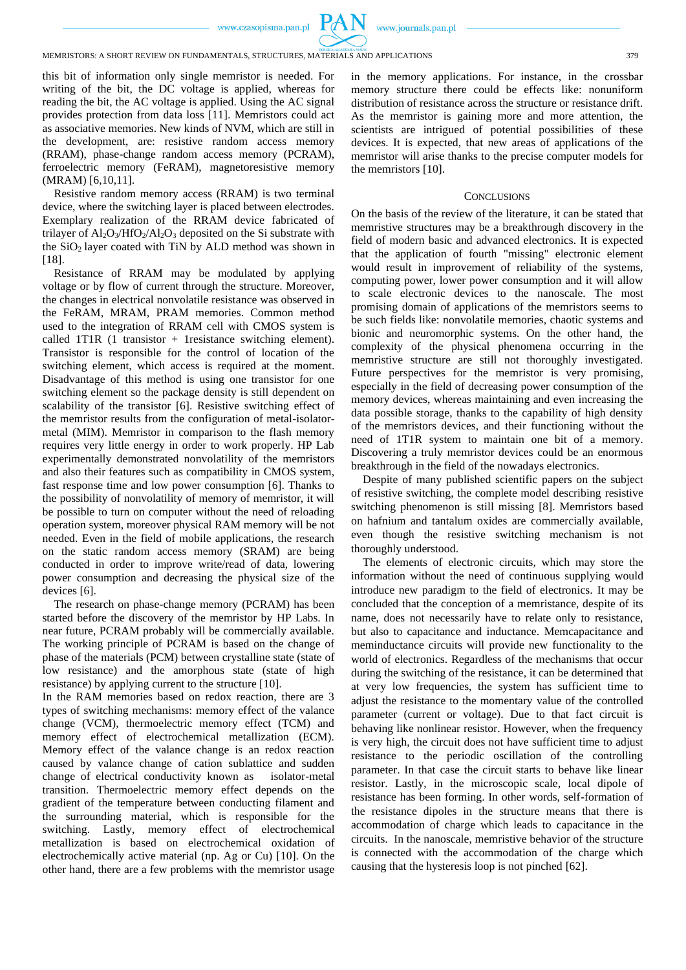

www.journals.pan.pl

MEMRISTORS: A SHORT REVIEW ON FUNDAMENTALS, STRUCTURES, MATERIALS AND APPLICATIONS 379

this bit of information only single memristor is needed. For writing of the bit, the DC voltage is applied, whereas for reading the bit, the AC voltage is applied. Using the AC signal provides protection from data loss [11]. Memristors could act as associative memories. New kinds of NVM, which are still in the development, are: resistive random access memory (RRAM), phase-change random access memory (PCRAM), ferroelectric memory (FeRAM), magnetoresistive memory (MRAM) [6,10,11].

Resistive random memory access (RRAM) is two terminal device, where the switching layer is placed between electrodes. Exemplary realization of the RRAM device fabricated of trilayer of Al<sub>2</sub>O<sub>3</sub>/HfO<sub>2</sub>/Al<sub>2</sub>O<sub>3</sub> deposited on the Si substrate with the  $SiO<sub>2</sub>$  layer coated with TiN by ALD method was shown in [18].

Resistance of RRAM may be modulated by applying voltage or by flow of current through the structure. Moreover, the changes in electrical nonvolatile resistance was observed in the FeRAM, MRAM, PRAM memories. Common method used to the integration of RRAM cell with CMOS system is called 1T1R (1 transistor + 1resistance switching element). Transistor is responsible for the control of location of the switching element, which access is required at the moment. Disadvantage of this method is using one transistor for one switching element so the package density is still dependent on scalability of the transistor [6]. Resistive switching effect of the memristor results from the configuration of metal-isolatormetal (MIM). Memristor in comparison to the flash memory requires very little energy in order to work properly. HP Lab experimentally demonstrated nonvolatility of the memristors and also their features such as compatibility in CMOS system, fast response time and low power consumption [6]. Thanks to the possibility of nonvolatility of memory of memristor, it will be possible to turn on computer without the need of reloading operation system, moreover physical RAM memory will be not needed. Even in the field of mobile applications, the research on the static random access memory (SRAM) are being conducted in order to improve write/read of data, lowering power consumption and decreasing the physical size of the devices [6].

The research on phase-change memory (PCRAM) has been started before the discovery of the memristor by HP Labs. In near future, PCRAM probably will be commercially available. The working principle of PCRAM is based on the change of phase of the materials (PCM) between crystalline state (state of low resistance) and the amorphous state (state of high resistance) by applying current to the structure [10].

In the RAM memories based on redox reaction, there are 3 types of switching mechanisms: memory effect of the valance change (VCM), thermoelectric memory effect (TCM) and memory effect of electrochemical metallization (ECM). Memory effect of the valance change is an redox reaction caused by valance change of cation sublattice and sudden change of electrical conductivity known as isolator-metal transition. Thermoelectric memory effect depends on the gradient of the temperature between conducting filament and the surrounding material, which is responsible for the switching. Lastly, memory effect of electrochemical metallization is based on electrochemical oxidation of electrochemically active material (np. Ag or Cu) [10]. On the other hand, there are a few problems with the memristor usage in the memory applications. For instance, in the crossbar memory structure there could be effects like: nonuniform distribution of resistance across the structure or resistance drift. As the memristor is gaining more and more attention, the scientists are intrigued of potential possibilities of these devices. It is expected, that new areas of applications of the memristor will arise thanks to the precise computer models for the memristors [10].

#### **CONCLUSIONS**

On the basis of the review of the literature, it can be stated that memristive structures may be a breakthrough discovery in the field of modern basic and advanced electronics. It is expected that the application of fourth "missing" electronic element would result in improvement of reliability of the systems, computing power, lower power consumption and it will allow to scale electronic devices to the nanoscale. The most promising domain of applications of the memristors seems to be such fields like: nonvolatile memories, chaotic systems and bionic and neuromorphic systems. On the other hand, the complexity of the physical phenomena occurring in the memristive structure are still not thoroughly investigated. Future perspectives for the memristor is very promising, especially in the field of decreasing power consumption of the memory devices, whereas maintaining and even increasing the data possible storage, thanks to the capability of high density of the memristors devices, and their functioning without the need of 1T1R system to maintain one bit of a memory. Discovering a truly memristor devices could be an enormous breakthrough in the field of the nowadays electronics.

Despite of many published scientific papers on the subject of resistive switching, the complete model describing resistive switching phenomenon is still missing [8]. Memristors based on hafnium and tantalum oxides are commercially available, even though the resistive switching mechanism is not thoroughly understood.

The elements of electronic circuits, which may store the information without the need of continuous supplying would introduce new paradigm to the field of electronics. It may be concluded that the conception of a memristance, despite of its name, does not necessarily have to relate only to resistance, but also to capacitance and inductance. Memcapacitance and meminductance circuits will provide new functionality to the world of electronics. Regardless of the mechanisms that occur during the switching of the resistance, it can be determined that at very low frequencies, the system has sufficient time to adjust the resistance to the momentary value of the controlled parameter (current or voltage). Due to that fact circuit is behaving like nonlinear resistor. However, when the frequency is very high, the circuit does not have sufficient time to adjust resistance to the periodic oscillation of the controlling parameter. In that case the circuit starts to behave like linear resistor. Lastly, in the microscopic scale, local dipole of resistance has been forming. In other words, self-formation of the resistance dipoles in the structure means that there is accommodation of charge which leads to capacitance in the circuits. In the nanoscale, memristive behavior of the structure is connected with the accommodation of the charge which causing that the hysteresis loop is not pinched [62].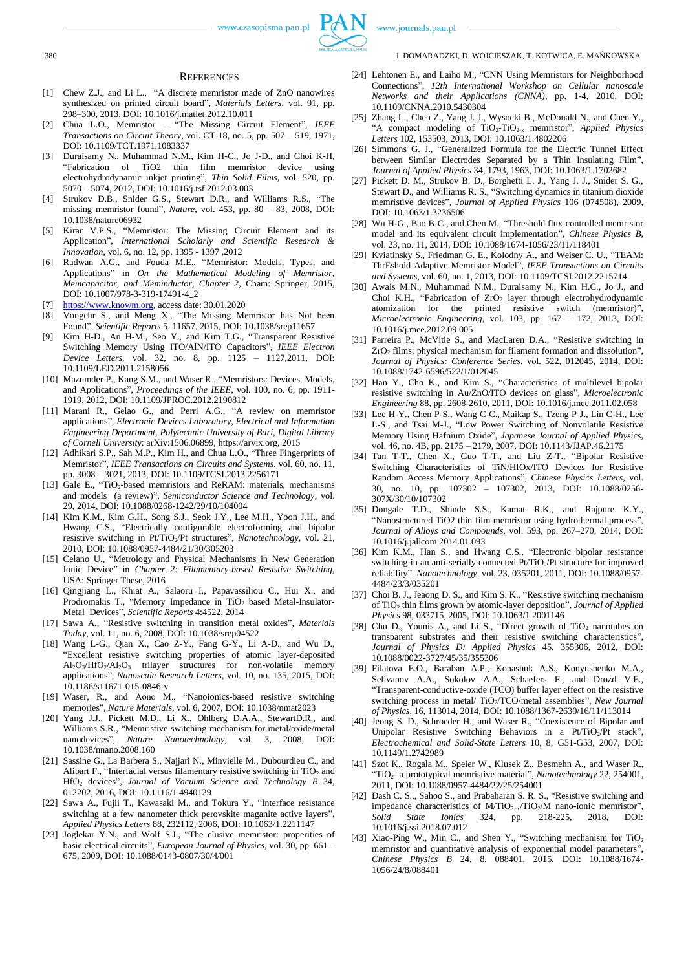

www.journals.pan.pl

#### 380 J. DOMARADZKI, D. WOJCIESZAK, T. KOTWICA, E. MAŃKOWSKA

#### **REFERENCES**

- [1] Chew Z.J., and Li L., "A discrete memristor made of ZnO nanowires synthesized on printed circuit board", *Materials Letters*, vol. 91, pp. 298–300, 2013, DOI: 10.1016/j.matlet.2012.10.011
- [2] Chua L.O., Memristor "The Missing Circuit Element", *IEEE Transactions on Circuit Theory*, vol. CT-18, no. 5, pp. 507 – 519, 1971, DOI: 10.1109/TCT.1971.1083337
- [3] Duraisamy N., Muhammad N.M., Kim H-C., Jo J-D., and Choi K-H, "Fabrication of TiO2 thin film memristor device electrohydrodynamic inkjet printing", *Thin Solid Films*, vol. 520, pp. 5070 – 5074, 2012, DOI: 10.1016/j.tsf.2012.03.003
- [4] Strukov D.B., Snider G.S., Stewart D.R., and Williams R.S., "The missing memristor found", *Nature*, vol. 453, pp. 80 – 83, 2008, DOI: 10.1038/nature06932
- [5] Kirar V.P.S., "Memristor: The Missing Circuit Element and its Application", *International Scholarly and Scientific Research & Innovation*, vol. 6, no. 12, pp. 1395 - 1397 ,2012
- [6] Radwan A.G., and Fouda M.E., "Memristor: Models, Types, and Applications" in *On the Mathematical Modeling of Memristor, Memcapacitor, and Meminductor, Chapter 2*, Cham: Springer, 2015, DOI: 10.1007/978-3-319-17491-4\_2
- [7] [https://www.knowm.org,](https://www.knowm.org/) access date: 30.01.2020
- [8] Vongehr S., and Meng X., "The Missing Memristor has Not been Found", *Scientific Reports* 5, 11657, 2015, DOI: 10.1038/srep11657
- [9] Kim H-D., An H-M., Seo Y., and Kim T.G., "Transparent Resistive Switching Memory Using ITO/AlN/ITO Capacitors", *IEEE Electron Device Letters*, vol. 32, no. 8, pp. 1125 – 1127,2011, DOI: 10.1109/LED.2011.2158056
- [10] Mazumder P., Kang S.M., and Waser R., "Memristors: Devices, Models, and Applications", *Proceedings of the IEEE*, vol. 100, no. 6, pp. 1911- 1919, 2012, DOI: 10.1109/JPROC.2012.2190812
- [11] Marani R., Gelao G., and Perri A.G., "A review on memristor applications", *Electronic Devices Laboratory, Electrical and Information Engineering Department, Polytechnic University of Bari, Digital Library of Cornell University*: arXiv:1506.06899, https://arvix.org, 2015
- [12] Adhikari S.P., Sah M.P., Kim H., and Chua L.O., "Three Fingerprints of Memristor", *IEEE Transactions on Circuits and Systems*, vol. 60, no. 11, pp. 3008 – 3021, 2013, DOI: 10.1109/TCSI.2013.2256171
- [13] Gale E., "TiO<sub>2</sub>-based memristors and ReRAM: materials, mechanisms and models (a review)", *Semiconductor Science and Technology*, vol. 29, 2014, DOI: 10.1088/0268-1242/29/10/104004
- [14] Kim K.M., Kim G.H., Song S.J., Seok J.Y., Lee M.H., Yoon J.H., and Hwang C.S., "Electrically configurable electroforming and bipolar resistive switching in Pt/TiO<sub>2</sub>/Pt structures", *Nanotechnology*, vol. 21, 2010, DOI: 10.1088/0957-4484/21/30/305203
- [15] Celano U., "Metrology and Physical Mechanisms in New Generation Ionic Device" in *Chapter 2: Filamentary-based Resistive Switching*, USA: Springer These, 2016
- [16] Qingjiang L., Khiat A., Salaoru I., Papavassiliou C., Hui X., and Prodromakis T., "Memory Impedance in  $TiO<sub>2</sub>$  based Metal-Insulator-Metal Devices", *Scientific Reports* 4:4522, 2014
- [17] Sawa A., "Resistive switching in transition metal oxides", *Materials Today*, vol. 11, no. 6, 2008, DOI: 10.1038/srep04522
- [18] Wang L-G., Qian X., Cao Z-Y., Fang G-Y., Li A-D., and Wu D., "Excellent resistive switching properties of atomic layer-deposited  $Al_2O_3/HfO_2/Al_2O_3$  trilayer structures for non-volatile memory applications", *Nanoscale Research Letters*, vol. 10, no. 135, 2015, DOI: 10.1186/s11671-015-0846-y
- [19] Waser, R., and Aono M., "Nanoionics-based resistive switching memories", *Nature Materials*, vol. 6, 2007, DOI: 10.1038/nmat2023
- [20] Yang J.J., Pickett M.D., Li X., Ohlberg D.A.A., StewartD.R., and Williams S.R., "Memristive switching mechanism for metal/oxide/metal nanodevices", *Nature Nanotechnology*, vol. 3, 2008, DOI: 10.1038/nnano.2008.160
- [21] Sassine G., La Barbera S., Najjari N., Minvielle M., Dubourdieu C., and Alibart F., "Interfacial versus filamentary resistive switching in  $TiO<sub>2</sub>$  and HfO<sup>2</sup> devices", *Journal of Vacuum Science and Technology B* 34, 012202, 2016, DOI: 10.1116/1.4940129
- [22] Sawa A., Fujii T., Kawasaki M., and Tokura Y., "Interface resistance switching at a few nanometer thick perovskite maganite active layers", *Applied Physics Letters* 88, 232112, 2006, DOI: 10.1063/1.2211147
- [23] Joglekar Y.N., and Wolf S.J., "The elusive memristor: properities of basic electrical circuits", *European Journal of Physics*, vol. 30, pp. 661 – 675, 2009, DOI: 10.1088/0143-0807/30/4/001
- [24] Lehtonen E., and Laiho M., "CNN Using Memristors for Neighborhood Connections", *12th International Workshop on Cellular nanoscale Networks and their Applications (CNNA)*, pp. 1-4, 2010, DOI: 10.1109/CNNA.2010.5430304
- [25] Zhang L., Chen Z., Yang J. J., Wysocki B., McDonald N., and Chen Y., "A compact modeling of TiO2-TiO2-x memristor", *Applied Physics Letters* 102, 153503, 2013, DOI: 10.1063/1.4802206
- [26] Simmons G. J., "Generalized Formula for the Electric Tunnel Effect between Similar Electrodes Separated by a Thin Insulating Film", *Journal of Applied Physics* 34, 1793, 1963, DOI: 10.1063/1.1702682
- [27] Pickett D. M., Strukov B. D., Borghetti L. J., Yang J. J., Snider S. G., Stewart D., and Williams R. S., "Switching dynamics in titanium dioxide memristive devices", *Journal of Applied Physics* 106 (074508), 2009, DOI: 10.1063/1.3236506
- [28] Wu H-G., Bao B-C., and Chen M., "Threshold flux-controlled memristor model and its equivalent circuit implementation", *Chinese Physics B*, vol. 23, no. 11, 2014, DOI: 10.1088/1674-1056/23/11/118401
- [29] Kviatinsky S., Friedman G. E., Kolodny A., and Weiser C. U., "TEAM: ThrEshold Adaptive Memristor Model", *IEEE Transactions on Circuits and Systems*, vol. 60, no. 1, 2013, DOI: 10.1109/TCSI.2012.2215714
- [30] Awais M.N., Muhammad N.M., Duraisamy N., Kim H.C., Jo J., and Choi K.H., "Fabrication of  $ZrO<sub>2</sub>$  layer through electrohydrodynamic atomization for the printed resistive switch (memristor)", *Microelectronic Engineering*, vol. 103, pp. 167 – 172, 2013, DOI: 10.1016/j.mee.2012.09.005
- [31] Parreira P., McVitie S., and MacLaren D.A., "Resistive switching in  $ZrO<sub>2</sub>$  films: physical mechanism for filament formation and dissolution", *Journal of Physics: Conference Series*, vol. 522, 012045, 2014, DOI: 10.1088/1742-6596/522/1/012045
- [32] Han Y., Cho K., and Kim S., "Characteristics of multilevel bipolar resistive switching in Au/ZnO/ITO devices on glass", *Microelectronic Engineering* 88, pp. 2608-2610, 2011, DOI: 10.1016/j.mee.2011.02.058
- [33] Lee H-Y., Chen P-S., Wang C-C., Maikap S., Tzeng P-J., Lin C-H., Lee L-S., and Tsai M-J., "Low Power Switching of Nonvolatile Resistive Memory Using Hafnium Oxide", *Japanese Journal of Applied Physics*, vol. 46, no. 4B, pp. 2175 – 2179, 2007, DOI: 10.1143/JJAP.46.2175
- [34] Tan T-T., Chen X., Guo T-T., and Liu Z-T., "Bipolar Resistive Switching Characteristics of TiN/HfOx/ITO Devices for Resistive Random Access Memory Applications", *Chinese Physics Letters*, vol. 30, no. 10, pp. 107302 – 107302, 2013, DOI: 10.1088/0256- 307X/30/10/107302
- [35] Dongale T.D., Shinde S.S., Kamat R.K., and Rajpure K.Y., "Nanostructured TiO2 thin film memristor using hydrothermal process", *Journal of Alloys and Compounds*, vol. 593, pp. 267–270, 2014, DOI: 10.1016/j.jallcom.2014.01.093
- [36] Kim K.M., Han S., and Hwang C.S., "Electronic bipolar resistance switching in an anti-serially connected  $Pt/TiO<sub>2</sub>/Pt$  structure for improved reliability", *Nanotechnology*, vol. 23, 035201, 2011, DOI: 10.1088/0957- 4484/23/3/035201
- [37] Choi B. J., Jeaong D. S., and Kim S. K., "Resistive switching mechanism of TiO<sup>2</sup> thin films grown by atomic-layer deposition", *Journal of Applied Physics* 98, 033715, 2005, DOI: 10.1063/1.2001146
- [38] Chu D., Younis A., and Li S., "Direct growth of  $TiO<sub>2</sub>$  nanotubes on transparent substrates and their resistive switching characteristics", *Journal of Physics D: Applied Physics* 45, 355306, 2012, DOI: 10.1088/0022-3727/45/35/355306
- [39] Filatova E.O., Baraban A.P., Konashuk A.S., Konyushenko M.A., Selivanov A.A., Sokolov A.A., Schaefers F., and Drozd V.E., "Transparent-conductive-oxide (TCO) buffer layer effect on the resistive switching process in metal/ TiO<sub>2</sub>/TCO/metal assemblies", *New Journal of Physics*, 16, 113014, 2014, DOI: 10.1088/1367-2630/16/11/113014
- [40] Jeong S. D., Schroeder H., and Waser R., "Coexistence of Bipolar and Unipolar Resistive Switching Behaviors in a Pt/TiO<sub>2</sub>/Pt stack", *Electrochemical and Solid-State Letters* 10, 8, G51-G53, 2007, DOI: 10.1149/1.2742989
- [41] Szot K., Rogala M., Speier W., Klusek Z., Besmehn A., and Waser R., "TiO2- a prototypical memristive material", *Nanotechnology* 22, 254001, 2011, DOI: 10.1088/0957-4484/22/25/254001
- [42] Dash C. S.., Sahoo S., and Prabaharan S. R. S., "Resistive switching and impedance characteristics of M/TiO2−x/TiO2/M nano-ionic memristor", *Solid State Ionics* 324, pp. 218-225, 2018, DOI: 10.1016/j.ssi.2018.07.012
- [43] Xiao-Ping W., Min C., and Shen Y., "Switching mechanism for  $TiO<sub>2</sub>$ memristor and quantitative analysis of exponential model parameters", *Chinese Physics B* 24, 8, 088401, 2015, DOI: 10.1088/1674- 1056/24/8/088401